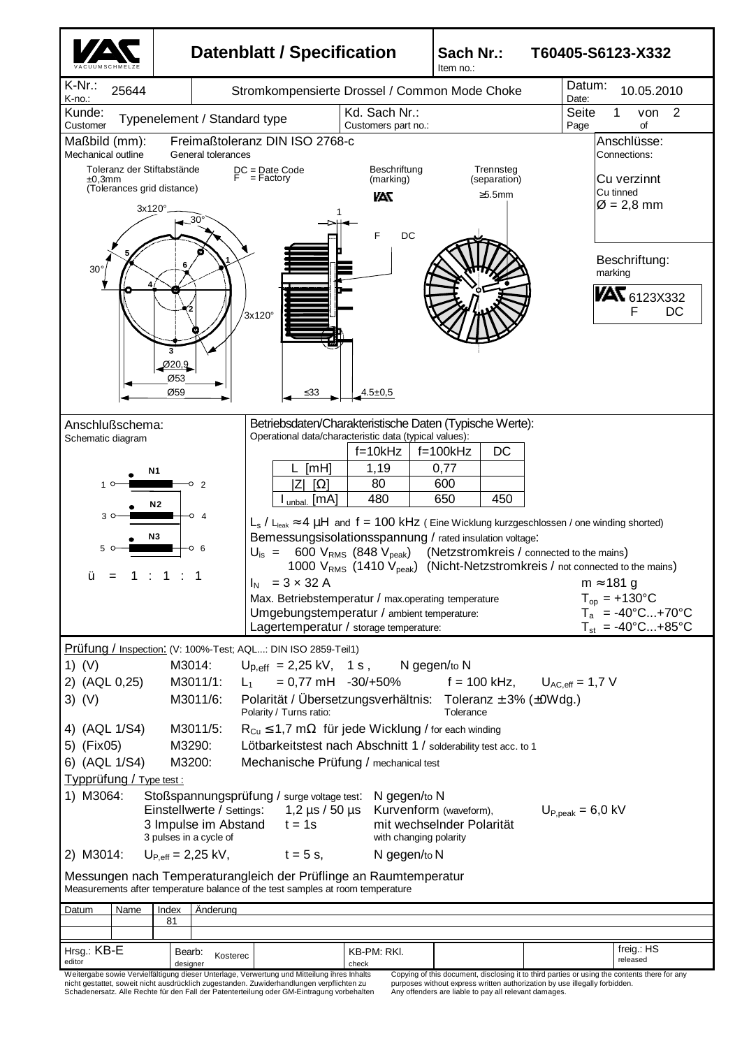